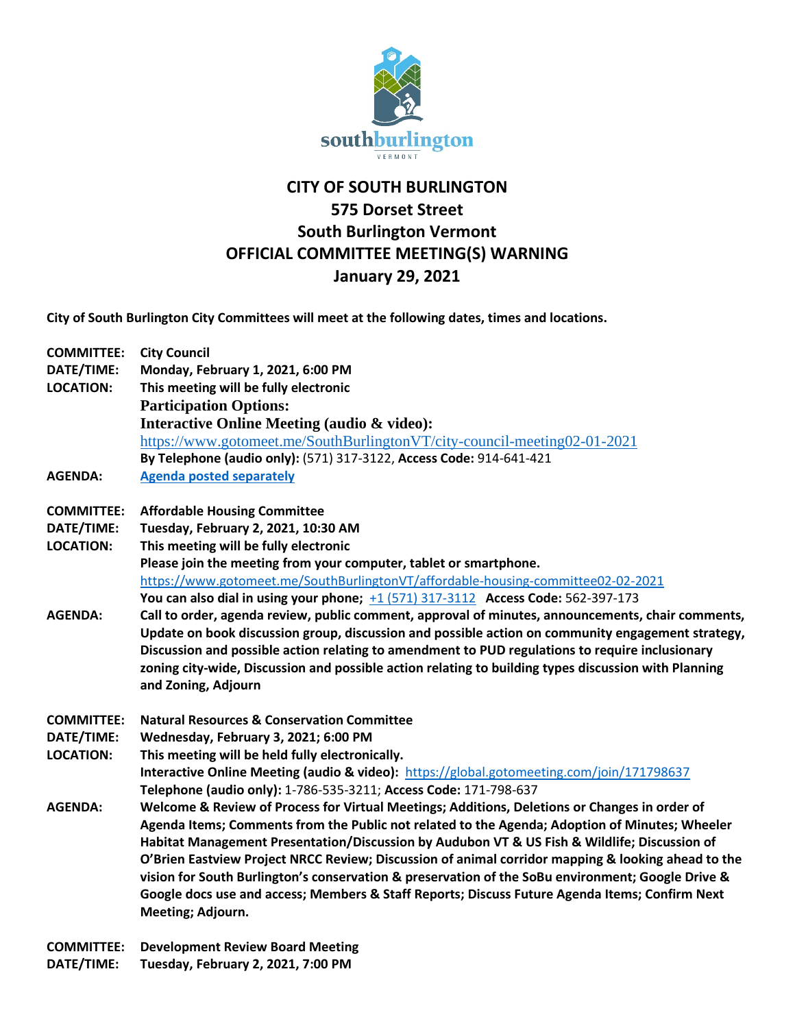

## **CITY OF SOUTH BURLINGTON 575 Dorset Street South Burlington Vermont OFFICIAL COMMITTEE MEETING(S) WARNING January 29, 2021**

**City of South Burlington City Committees will meet at the following dates, times and locations.** 

| <b>COMMITTEE:</b> | <b>City Council</b>                                                                                  |
|-------------------|------------------------------------------------------------------------------------------------------|
| DATE/TIME:        | Monday, February 1, 2021, 6:00 PM                                                                    |
| <b>LOCATION:</b>  | This meeting will be fully electronic                                                                |
|                   | <b>Participation Options:</b>                                                                        |
|                   | <b>Interactive Online Meeting (audio &amp; video):</b>                                               |
|                   | https://www.gotomeet.me/SouthBurlingtonVT/city-council-meeting02-01-2021                             |
|                   | By Telephone (audio only): (571) 317-3122, Access Code: 914-641-421                                  |
| <b>AGENDA:</b>    | <b>Agenda posted separately</b>                                                                      |
| <b>COMMITTEE:</b> | <b>Affordable Housing Committee</b>                                                                  |
| DATE/TIME:        | Tuesday, February 2, 2021, 10:30 AM                                                                  |
| <b>LOCATION:</b>  | This meeting will be fully electronic                                                                |
|                   | Please join the meeting from your computer, tablet or smartphone.                                    |
|                   | https://www.gotomeet.me/SouthBurlingtonVT/affordable-housing-committee02-02-2021                     |
|                   | You can also dial in using your phone; +1 (571) 317-3112 Access Code: 562-397-173                    |
| <b>AGENDA:</b>    | Call to order, agenda review, public comment, approval of minutes, announcements, chair comments,    |
|                   | Update on book discussion group, discussion and possible action on community engagement strategy,    |
|                   | Discussion and possible action relating to amendment to PUD regulations to require inclusionary      |
|                   | zoning city-wide, Discussion and possible action relating to building types discussion with Planning |
|                   | and Zoning, Adjourn                                                                                  |
| <b>COMMITTEE:</b> | <b>Natural Resources &amp; Conservation Committee</b>                                                |
| DATE/TIME:        | Wednesday, February 3, 2021; 6:00 PM                                                                 |
| <b>LOCATION:</b>  | This meeting will be held fully electronically.                                                      |
|                   | Interactive Online Meeting (audio & video): https://global.gotomeeting.com/join/171798637            |
|                   | Telephone (audio only): 1-786-535-3211; Access Code: 171-798-637                                     |
| <b>AGENDA:</b>    | Welcome & Review of Process for Virtual Meetings; Additions, Deletions or Changes in order of        |
|                   | Agenda Items; Comments from the Public not related to the Agenda; Adoption of Minutes; Wheeler       |
|                   | Habitat Management Presentation/Discussion by Audubon VT & US Fish & Wildlife; Discussion of         |
|                   | O'Brien Eastview Project NRCC Review; Discussion of animal corridor mapping & looking ahead to the   |
|                   | vision for South Burlington's conservation & preservation of the SoBu environment; Google Drive &    |
|                   | Google docs use and access; Members & Staff Reports; Discuss Future Agenda Items; Confirm Next       |
|                   | Meeting; Adjourn.                                                                                    |
| <b>COMMITTEE:</b> | <b>Development Review Board Meeting</b>                                                              |

**DATE/TIME: Tuesday, February 2, 2021, 7:00 PM**